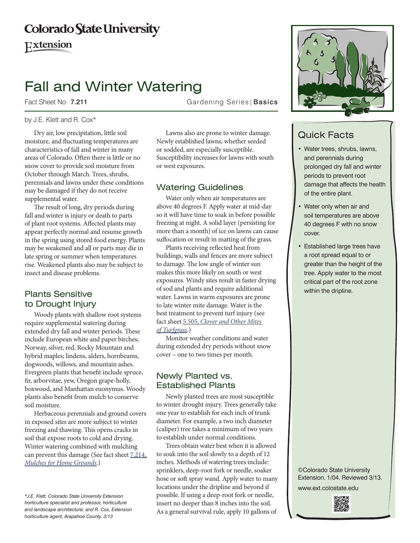## **Colorado State University**

Extension

# Fall and Winter Watering

Fact Sheet No. 7.211 **Fact Sheet No. 7.211** Gardening Series | Basics

#### by J.E. Klett and R. Cox\*

Dry air, low precipitation, little soil moisture, and fluctuating temperatures are characteristics of fall and winter in many areas of Colorado. Often there is little or no snow cover to provide soil moisture from October through March. Trees, shrubs, perennials and lawns under these conditions may be damaged if they do not receive supplemental water.

The result of long, dry periods during fall and winter is injury or death to parts of plant root systems. Affected plants may appear perfectly normal and resume growth in the spring using stored food energy. Plants may be weakened and all or parts may die in late spring or summer when temperatures rise. Weakened plants also may be subject to insect and disease problems.

#### Plants Sensitive to Drought Injury

Woody plants with shallow root systems require supplemental watering during extended dry fall and winter periods. These include European white and paper birches; Norway, silver, red, Rocky Mountain and hybrid maples; lindens, alders, hornbeams, dogwoods, willows, and mountain ashes. Evergreen plants that benefit include spruce, fir, arborvitae, yew, Oregon grape-holly, boxwood, and Manhattan euonymus. Woody plants also benefit from mulch to conserve soil moisture.

Herbaceous perennials and ground covers in exposed sites are more subject to winter freezing and thawing. This opens cracks in soil that expose roots to cold and drying. Winter watering combined with mulching can prevent this damage (See fact sheet [7.214,](http://www.ext.colostate.edu/pubs/garden/07214.html)  *[Mulches for Home Grounds](http://www.ext.colostate.edu/pubs/garden/07214.html)*.)

Lawns also are prone to winter damage. Newly established lawns, whether seeded or sodded, are especially susceptible. Susceptibility increases for lawns with south or west exposures.

#### Watering Guidelines

Water only when air temperatures are above 40 degrees F. Apply water at mid-day so it will have time to soak in before possible freezing at night. A solid layer (persisting for more than a month) of ice on lawns can cause suffocation or result in matting of the grass.

Plants receiving reflected heat from buildings, walls and fences are more subject to damage. The low angle of winter sun makes this more likely on south or west exposures. Windy sites result in faster drying of sod and plants and require additional water. Lawns in warm exposures are prone to late winter mite damage. Water is the best treatment to prevent turf injury (see fact sheet 5.505, *[Clover and Other Mites](http://www.ext.colostate.edu/pubs/insect/05505.html)  [of Turfgrass](http://www.ext.colostate.edu/pubs/insect/05505.html)*.)

Monitor weather conditions and water during extended dry periods without snow cover – one to two times per month.

#### Newly Planted vs. Established Plants

Newly planted trees are most susceptible to winter drought injury. Trees generally take one year to establish for each inch of trunk diameter. For example, a two inch diameter (caliper) tree takes a minimum of two years to establish under normal conditions.

Trees obtain water best when it is allowed to soak into the soil slowly to a depth of 12 inches. Methods of watering trees include: sprinklers, deep-root fork or needle, soaker hose or soft spray wand. Apply water to many locations under the dripline and beyond if possible. If using a deep-root fork or needle, insert no deeper than 8 inches into the soil. As a general survival rule, apply 10 gallons of



### Quick Facts

- • Water trees, shrubs, lawns, and perennials during prolonged dry fall and winter periods to prevent root damage that affects the health of the entire plant.
- • Water only when air and soil temperatures are above 40 degrees F with no snow cover.
- **Established large trees have** a root spread equal to or greater than the height of the tree. Apply water to the most critical part of the root zone within the dripline.

©Colorado State University Extension. 1/04. Reviewed 3/13. www.ext.colostate.edu



*<sup>\*</sup>J.E. Klett, Colorado State University Extension horticulture specialist and professor, horticulture and landscape architecture; and R. Cox, Extension horticulture agent, Arapahoe County. 3/13*